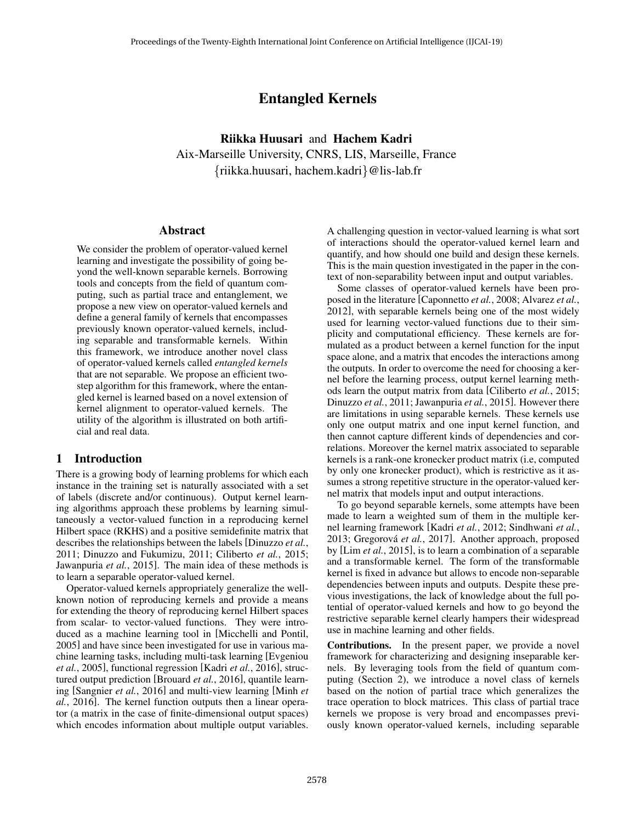# Entangled Kernels

Riikka Huusari and Hachem Kadri Aix-Marseille University, CNRS, LIS, Marseille, France {riikka.huusari, hachem.kadri}@lis-lab.fr

## Abstract

We consider the problem of operator-valued kernel learning and investigate the possibility of going beyond the well-known separable kernels. Borrowing tools and concepts from the field of quantum computing, such as partial trace and entanglement, we propose a new view on operator-valued kernels and define a general family of kernels that encompasses previously known operator-valued kernels, including separable and transformable kernels. Within this framework, we introduce another novel class of operator-valued kernels called *entangled kernels* that are not separable. We propose an efficient twostep algorithm for this framework, where the entangled kernel is learned based on a novel extension of kernel alignment to operator-valued kernels. The utility of the algorithm is illustrated on both artificial and real data.

## 1 Introduction

There is a growing body of learning problems for which each instance in the training set is naturally associated with a set of labels (discrete and/or continuous). Output kernel learning algorithms approach these problems by learning simultaneously a vector-valued function in a reproducing kernel Hilbert space (RKHS) and a positive semidefinite matrix that describes the relationships between the labels [Dinuzzo *et al.*, 2011; Dinuzzo and Fukumizu, 2011; Ciliberto *et al.*, 2015; Jawanpuria *et al.*, 2015]. The main idea of these methods is to learn a separable operator-valued kernel.

Operator-valued kernels appropriately generalize the wellknown notion of reproducing kernels and provide a means for extending the theory of reproducing kernel Hilbert spaces from scalar- to vector-valued functions. They were introduced as a machine learning tool in [Micchelli and Pontil, 2005] and have since been investigated for use in various machine learning tasks, including multi-task learning [Evgeniou *et al.*, 2005], functional regression [Kadri *et al.*, 2016], structured output prediction [Brouard *et al.*, 2016], quantile learning [Sangnier *et al.*, 2016] and multi-view learning [Minh *et al.*, 2016]. The kernel function outputs then a linear operator (a matrix in the case of finite-dimensional output spaces) which encodes information about multiple output variables. A challenging question in vector-valued learning is what sort of interactions should the operator-valued kernel learn and quantify, and how should one build and design these kernels. This is the main question investigated in the paper in the context of non-separability between input and output variables.

Some classes of operator-valued kernels have been proposed in the literature [Caponnetto *et al.*, 2008; Alvarez *et al.*, 2012], with separable kernels being one of the most widely used for learning vector-valued functions due to their simplicity and computational efficiency. These kernels are formulated as a product between a kernel function for the input space alone, and a matrix that encodes the interactions among the outputs. In order to overcome the need for choosing a kernel before the learning process, output kernel learning methods learn the output matrix from data [Ciliberto *et al.*, 2015; Dinuzzo *et al.*, 2011; Jawanpuria *et al.*, 2015]. However there are limitations in using separable kernels. These kernels use only one output matrix and one input kernel function, and then cannot capture different kinds of dependencies and correlations. Moreover the kernel matrix associated to separable kernels is a rank-one kronecker product matrix (i.e, computed by only one kronecker product), which is restrictive as it assumes a strong repetitive structure in the operator-valued kernel matrix that models input and output interactions.

To go beyond separable kernels, some attempts have been made to learn a weighted sum of them in the multiple kernel learning framework [Kadri *et al.*, 2012; Sindhwani *et al.*, 2013; Gregorová *et al.*, 2017]. Another approach, proposed by [Lim *et al.*, 2015], is to learn a combination of a separable and a transformable kernel. The form of the transformable kernel is fixed in advance but allows to encode non-separable dependencies between inputs and outputs. Despite these previous investigations, the lack of knowledge about the full potential of operator-valued kernels and how to go beyond the restrictive separable kernel clearly hampers their widespread use in machine learning and other fields.

Contributions. In the present paper, we provide a novel framework for characterizing and designing inseparable kernels. By leveraging tools from the field of quantum computing (Section 2), we introduce a novel class of kernels based on the notion of partial trace which generalizes the trace operation to block matrices. This class of partial trace kernels we propose is very broad and encompasses previously known operator-valued kernels, including separable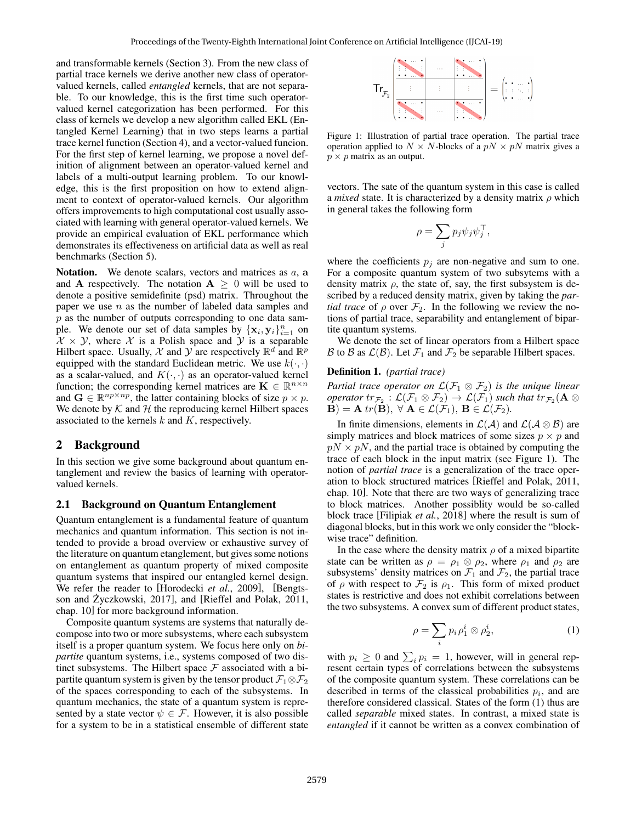and transformable kernels (Section 3). From the new class of partial trace kernels we derive another new class of operatorvalued kernels, called *entangled* kernels, that are not separable. To our knowledge, this is the first time such operatorvalued kernel categorization has been performed. For this class of kernels we develop a new algorithm called EKL (Entangled Kernel Learning) that in two steps learns a partial trace kernel function (Section 4), and a vector-valued funcion. For the first step of kernel learning, we propose a novel definition of alignment between an operator-valued kernel and labels of a multi-output learning problem. To our knowledge, this is the first proposition on how to extend alignment to context of operator-valued kernels. Our algorithm offers improvements to high computational cost usually associated with learning with general operator-valued kernels. We provide an empirical evaluation of EKL performance which demonstrates its effectiveness on artificial data as well as real benchmarks (Section 5).

Notation. We denote scalars, vectors and matrices as  $a$ , a and **A** respectively. The notation  $A \geq 0$  will be used to denote a positive semidefinite (psd) matrix. Throughout the paper we use  $n$  as the number of labeled data samples and  $p$  as the number of outputs corresponding to one data sample. We denote our set of data samples by  $\{\mathbf x_i, \mathbf y_i\}_{i=1}^n$  on  $\mathcal{X} \times \mathcal{Y}$ , where X is a Polish space and Y is a separable Hilbert space. Usually,  $\mathcal X$  and  $\mathcal Y$  are respectively  $\mathbb R^d$  and  $\mathbb R^p$ equipped with the standard Euclidean metric. We use  $k(\cdot, \cdot)$ as a scalar-valued, and  $K(\cdot, \cdot)$  as an operator-valued kernel function; the corresponding kernel matrices are  $\mathbf{K} \in \mathbb{R}^{n \times n}$ and  $\mathbf{G} \in \mathbb{R}^{np \times np}$ , the latter containing blocks of size  $p \times p$ . We denote by  $K$  and  $H$  the reproducing kernel Hilbert spaces associated to the kernels  $k$  and  $K$ , respectively.

# 2 Background

In this section we give some background about quantum entanglement and review the basics of learning with operatorvalued kernels.

#### 2.1 Background on Quantum Entanglement

Quantum entanglement is a fundamental feature of quantum mechanics and quantum information. This section is not intended to provide a broad overview or exhaustive survey of the literature on quantum etanglement, but gives some notions on entanglement as quantum property of mixed composite quantum systems that inspired our entangled kernel design. We refer the reader to [Horodecki *et al.*, 2009], [Bengtsson and Życzkowski, 2017], and [Rieffel and Polak, 2011, chap. 10] for more background information.

Composite quantum systems are systems that naturally decompose into two or more subsystems, where each subsystem itself is a proper quantum system. We focus here only on *bipartite* quantum systems, i.e., systems composed of two distinct subsystems. The Hilbert space  $F$  associated with a bipartite quantum system is given by the tensor product  $\mathcal{F}_1 \otimes \mathcal{F}_2$ of the spaces corresponding to each of the subsystems. In quantum mechanics, the state of a quantum system is represented by a state vector  $\psi \in \mathcal{F}$ . However, it is also possible for a system to be in a statistical ensemble of different state



Figure 1: Illustration of partial trace operation. The partial trace operation applied to  $N \times N$ -blocks of a  $pN \times pN$  matrix gives a  $p \times p$  matrix as an output.

vectors. The sate of the quantum system in this case is called a *mixed* state. It is characterized by a density matrix  $\rho$  which in general takes the following form

$$
\rho = \sum_j p_j \psi_j \psi_j^\top,
$$

where the coefficients  $p_j$  are non-negative and sum to one. For a composite quantum system of two subsytems with a density matrix  $\rho$ , the state of, say, the first subsystem is described by a reduced density matrix, given by taking the *partial trace* of  $\rho$  over  $\mathcal{F}_2$ . In the following we review the notions of partial trace, separability and entanglement of bipartite quantum systems.

We denote the set of linear operators from a Hilbert space B to B as  $\mathcal{L}(\mathcal{B})$ . Let  $\mathcal{F}_1$  and  $\mathcal{F}_2$  be separable Hilbert spaces.

#### Definition 1. *(partial trace)*

*Partial trace operator on*  $\mathcal{L}(\mathcal{F}_1 \otimes \mathcal{F}_2)$  *is the unique linear*  $\mathit{operatortr}_{\mathcal{F}_2}: \mathcal{L}(\mathcal{F}_1 \otimes \mathcal{F}_2) \rightarrow \mathcal{L}(\mathcal{F}_1)$  such that  $\mathrm{tr}_{\mathcal{F}_2}( \mathbf{A} \otimes$  $\mathbf{B}$ ) = **A** tr( $\mathbf{B}$ ),  $\forall$  **A**  $\in$   $\mathcal{L}(\mathcal{F}_1)$ ,  $\mathbf{B} \in \mathcal{L}(\mathcal{F}_2)$ .

In finite dimensions, elements in  $\mathcal{L}(\mathcal{A})$  and  $\mathcal{L}(\mathcal{A} \otimes \mathcal{B})$  are simply matrices and block matrices of some sizes  $p \times p$  and  $pN \times pN$ , and the partial trace is obtained by computing the trace of each block in the input matrix (see Figure 1). The notion of *partial trace* is a generalization of the trace operation to block structured matrices [Rieffel and Polak, 2011, chap. 10]. Note that there are two ways of generalizing trace to block matrices. Another possiblity would be so-called block trace [Filipiak *et al.*, 2018] where the result is sum of diagonal blocks, but in this work we only consider the "blockwise trace" definition.

In the case where the density matrix  $\rho$  of a mixed bipartite state can be written as  $\rho = \rho_1 \otimes \rho_2$ , where  $\rho_1$  and  $\rho_2$  are subsystems' density matrices on  $\mathcal{F}_1$  and  $\mathcal{F}_2$ , the partial trace of  $\rho$  with respect to  $\mathcal{F}_2$  is  $\rho_1$ . This form of mixed product states is restrictive and does not exhibit correlations between the two subsystems. A convex sum of different product states,

$$
\rho = \sum_{i} p_i \rho_1^i \otimes \rho_2^i, \tag{1}
$$

with  $p_i \geq 0$  and  $\sum_i p_i = 1$ , however, will in general represent certain types of correlations between the subsystems of the composite quantum system. These correlations can be described in terms of the classical probabilities  $p_i$ , and are therefore considered classical. States of the form (1) thus are called *separable* mixed states. In contrast, a mixed state is *entangled* if it cannot be written as a convex combination of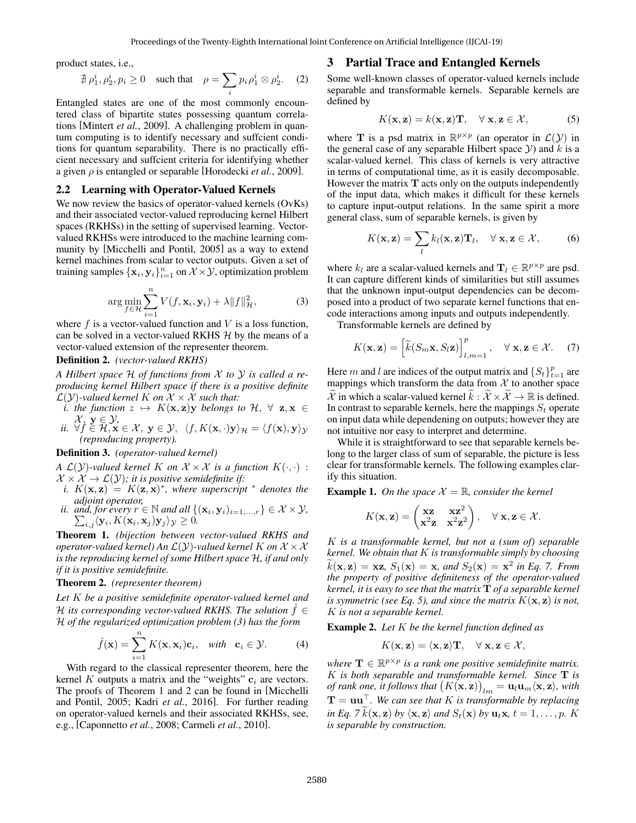product states, i.e.,

$$
\nexists \ \rho_1^i, \rho_2^i, p_i \ge 0 \quad \text{such that} \quad \rho = \sum_i p_i \rho_1^i \otimes \rho_2^i. \tag{2}
$$

Entangled states are one of the most commonly encountered class of bipartite states possessing quantum correlations [Mintert *et al.*, 2009]. A challenging problem in quantum computing is to identify necessary and suffcient conditions for quantum separability. There is no practically efficient necessary and suffcient criteria for identifying whether a given  $\rho$  is entangled or separable [Horodecki *et al.*, 2009].

## 2.2 Learning with Operator-Valued Kernels

We now review the basics of operator-valued kernels (OvKs) and their associated vector-valued reproducing kernel Hilbert spaces (RKHSs) in the setting of supervised learning. Vectorvalued RKHSs were introduced to the machine learning community by [Micchelli and Pontil, 2005] as a way to extend kernel machines from scalar to vector outputs. Given a set of training samples  $\{x_i, y_i\}_{i=1}^n$  on  $\mathcal{X} \times \mathcal{Y}$ , optimization problem

$$
\arg\min_{f\in\mathcal{H}}\sum_{i=1}^{n}V(f,\mathbf{x}_{i},\mathbf{y}_{i})+\lambda\|f\|_{\mathcal{H}}^{2},\tag{3}
$$

where  $f$  is a vector-valued function and  $V$  is a loss function, can be solved in a vector-valued RKHS  $H$  by the means of a vector-valued extension of the representer theorem.

## Definition 2. *(vector-valued RKHS)*

*A Hilbert space* H *of functions from* X *to* Y *is called a reproducing kernel Hilbert space if there is a positive definite*  $\mathcal{L}(\mathcal{Y})$ -valued kernel K on  $\mathcal{X} \times \mathcal{X}$  such that:

- *i. the function*  $z \mapsto K(x, z)y$  *belongs to*  $H, \forall z, x \in$  $\mathcal{X}, \mathbf{y} \in \mathcal{Y}$
- *ii.*  $\forall f \in \mathcal{H}, \mathbf{x} \in \mathcal{X}, \mathbf{y} \in \mathcal{Y}, \langle f, K(\mathbf{x}, \cdot) \mathbf{y} \rangle_{\mathcal{H}} = \langle f(\mathbf{x}), \mathbf{y} \rangle_{\mathcal{Y}}$ *(reproducing property).*

#### Definition 3. *(operator-valued kernel)*

*A*  $\mathcal{L}(\mathcal{Y})$ -valued kernel *K* on  $\mathcal{X} \times \mathcal{X}$  is a function  $K(\cdot, \cdot)$  :  $\mathcal{X} \times \mathcal{X} \rightarrow \mathcal{L}(\mathcal{Y})$ ; it is positive semidefinite if:

- *i.*  $K(\mathbf{x}, \mathbf{z}) = K(\mathbf{z}, \mathbf{x})^*$ , where superscript \* denotes the
- *adjoint operator,*<br> *ii. and, for every*  $r \in \mathbb{N}$  *and all*  $\{(\mathbf{x}_i, \mathbf{y}_i)_{i=1,\dots,r}\} \in \mathcal{X} \times \mathcal{Y}$ ,<br>  $\sum_{i} \langle \mathbf{y}_i, K(\mathbf{x}_i, \mathbf{x}_i) \mathbf{y}_i \rangle \times \mathcal{Y} \geq 0$ .  $\langle \mathbf{y}_i, K(\mathbf{x}_i, \mathbf{x}_j) \mathbf{y}_j \rangle_{\mathcal{Y}} \geq 0.$

Theorem 1. *(bijection between vector-valued RKHS and operator-valued kernel)* An  $\mathcal{L}(\mathcal{Y})$ -valued kernel K on  $\mathcal{X} \times \mathcal{X}$ *is the reproducing kernel of some Hilbert space* H*, if and only if it is positive semidefinite.*

## Theorem 2. *(representer theorem)*

*Let* K *be a positive semidefinite operator-valued kernel and* H its corresponding vector-valued RKHS. The solution  $f \in$ H *of the regularized optimization problem (3) has the form*

$$
\hat{f}(\mathbf{x}) = \sum_{i=1}^{n} K(\mathbf{x}, \mathbf{x}_i) \mathbf{c}_i, \quad \text{with} \quad \mathbf{c}_i \in \mathcal{Y}.
$$
 (4)

With regard to the classical representer theorem, here the kernel K outputs a matrix and the "weights"  $c_i$  are vectors. The proofs of Theorem 1 and 2 can be found in [Micchelli and Pontil, 2005; Kadri *et al.*, 2016]. For further reading on operator-valued kernels and their associated RKHSs, see, e.g., [Caponnetto *et al.*, 2008; Carmeli *et al.*, 2010].

## 3 Partial Trace and Entangled Kernels

Some well-known classes of operator-valued kernels include separable and transformable kernels. Separable kernels are defined by

$$
K(\mathbf{x}, \mathbf{z}) = k(\mathbf{x}, \mathbf{z})\mathbf{T}, \quad \forall \mathbf{x}, \mathbf{z} \in \mathcal{X}, \tag{5}
$$

where **T** is a psd matrix in  $\mathbb{R}^{p \times p}$  (an operator in  $\mathcal{L}(\mathcal{Y})$  in the general case of any separable Hilbert space  $Y$ ) and  $k$  is a scalar-valued kernel. This class of kernels is very attractive in terms of computational time, as it is easily decomposable. However the matrix  $T$  acts only on the outputs independently of the input data, which makes it difficult for these kernels to capture input-output relations. In the same spirit a more general class, sum of separable kernels, is given by

$$
K(\mathbf{x}, \mathbf{z}) = \sum_{l} k_l(\mathbf{x}, \mathbf{z}) \mathbf{T}_l, \quad \forall \mathbf{x}, \mathbf{z} \in \mathcal{X}, \tag{6}
$$

where  $k_l$  are a scalar-valued kernels and  $\mathbf{T}_l \in \mathbb{R}^{p \times p}$  are psd. It can capture different kinds of similarities but still assumes that the unknown input-output dependencies can be decomposed into a product of two separate kernel functions that encode interactions among inputs and outputs independently.

Transformable kernels are defined by

$$
K(\mathbf{x}, \mathbf{z}) = \left[ \widetilde{k}(S_m \mathbf{x}, S_l \mathbf{z}) \right]_{l,m=1}^p, \quad \forall \mathbf{x}, \mathbf{z} \in \mathcal{X}.
$$
 (7)

Here m and l are indices of the output matrix and  $\{S_t\}_{t=1}^p$  are mappings which transform the data from  $X$  to another space  $\widetilde{\mathcal{X}}$  in which a scalar-valued kernel  $\widetilde{k}: \widetilde{\mathcal{X}} \times \widetilde{\mathcal{X}} \to \mathbb{R}$  is defined. In contrast to separable kernels, here the mappings  $S_t$  operate on input data while dependening on outputs; however they are not intuitive nor easy to interpret and determine.

While it is straightforward to see that separable kernels belong to the larger class of sum of separable, the picture is less clear for transformable kernels. The following examples clarify this situation.

**Example 1.** On the space  $X = \mathbb{R}$ , consider the kernel

$$
K(\mathbf{x}, \mathbf{z}) = \begin{pmatrix} \mathbf{xz} & \mathbf{xz}^2 \\ \mathbf{x}^2 \mathbf{z} & \mathbf{x}^2 \mathbf{z}^2 \end{pmatrix}, \quad \forall \mathbf{x}, \mathbf{z} \in \mathcal{X}.
$$

K *is a transformable kernel, but not a (sum of) separable kernel. We obtain that* K *is transformable simply by choosing*  $\widetilde{k}(\mathbf{x}, \mathbf{z}) = \mathbf{x} \mathbf{z}, S_1(\mathbf{x}) = \mathbf{x}, \text{ and } S_2(\mathbf{x}) = \mathbf{x}^2 \text{ in Eq. 7. From}$ *the property of positive definiteness of the operator-valued kernel, it is easy to see that the matrix* T *of a separable kernel is symmetric (see Eq. 5), and since the matrix*  $K(\mathbf{x}, \mathbf{z})$  *is not,* K *is not a separable kernel.*

Example 2. *Let* K *be the kernel function defined as*

$$
K(\mathbf{x}, \mathbf{z}) = \langle \mathbf{x}, \mathbf{z} \rangle \mathbf{T}, \quad \forall \ \mathbf{x}, \mathbf{z} \in \mathcal{X},
$$

where  $\mathbf{T} \in \mathbb{R}^{p \times p}$  is a rank one positive semidefinite matrix. K *is both separable and transformable kernel. Since* T *is of rank one, it follows that*  $(K(\mathbf{x}, \mathbf{z}))_{lm} = \mathbf{u}_l \mathbf{u}_m \langle \mathbf{x}, \mathbf{z} \rangle$ , with  $\mathbf{T} = \mathbf{u}\mathbf{u}^{\top}$ . We can see that K is transformable by replacing *in Eq. 7*  $\hat{k}(\mathbf{x}, \mathbf{z})$  *by*  $\langle \mathbf{x}, \mathbf{z} \rangle$  *and*  $S_t(\mathbf{x})$  *by*  $\mathbf{u}_t \mathbf{x}, t = 1, \dots, p$ *.* K *is separable by construction.*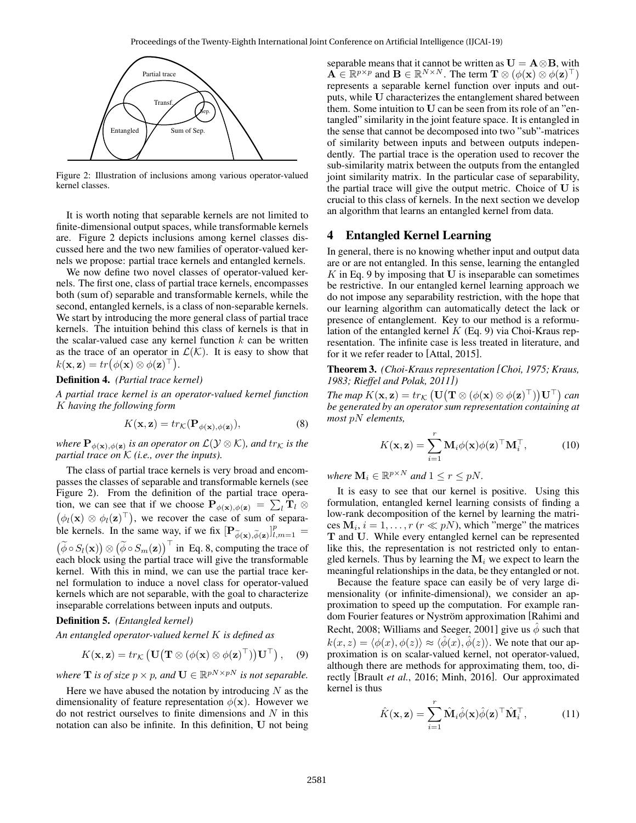

Figure 2: Illustration of inclusions among various operator-valued kernel classes.

It is worth noting that separable kernels are not limited to finite-dimensional output spaces, while transformable kernels are. Figure 2 depicts inclusions among kernel classes discussed here and the two new families of operator-valued kernels we propose: partial trace kernels and entangled kernels.

We now define two novel classes of operator-valued kernels. The first one, class of partial trace kernels, encompasses both (sum of) separable and transformable kernels, while the second, entangled kernels, is a class of non-separable kernels. We start by introducing the more general class of partial trace kernels. The intuition behind this class of kernels is that in the scalar-valued case any kernel function  $k$  can be written as the trace of an operator in  $\mathcal{L}(\mathcal{K})$ . It is easy to show that  $k(\mathbf{x}, \mathbf{z}) = tr(\phi(\mathbf{x}) \otimes \phi(\mathbf{z})^{\top}).$ 

#### Definition 4. *(Partial trace kernel)*

*A partial trace kernel is an operator-valued kernel function* K *having the following form*

$$
K(\mathbf{x}, \mathbf{z}) = tr_{\mathcal{K}}(\mathbf{P}_{\phi(\mathbf{x}), \phi(\mathbf{z})}),
$$
\n(8)

where  ${\bf P}_{\phi(\mathbf{x}),\phi(\mathbf{z})}$  *is an operator on*  $\mathcal{L}(\mathcal{Y}\otimes\mathcal{K})$ *, and*  $\text{tr}_{\mathcal{K}}$  *is the partial trace on* K *(i.e., over the inputs).*

The class of partial trace kernels is very broad and encompasses the classes of separable and transformable kernels (see Figure 2). From the definition of the partial trace operation, we can see that if we choose  $P_{\phi(\mathbf{x}),\phi(\mathbf{z})} = \sum_l \mathbf{T}_l \otimes$  $(\phi_l(\mathbf{x}) \otimes \phi_l(\mathbf{z})^\top)$ , we recover the case of sum of separable kernels. In the same way, if we fix  $[\mathbf{P}_{\widetilde{\phi}(\mathbf{x}), \widetilde{\phi}(\mathbf{z})}]_{l,m=1}^p =$  $(\widetilde{\phi} \circ S_l(\mathbf{x})) \otimes (\widetilde{\phi} \circ S_m(\mathbf{z}))^{\top}$  in Eq. 8, computing the trace of each block using the partial trace will give the transformable kernel. With this in mind, we can use the partial trace kernel formulation to induce a novel class for operator-valued kernels which are not separable, with the goal to characterize inseparable correlations between inputs and outputs.

#### Definition 5. *(Entangled kernel)*

*An entangled operator-valued kernel* K *is defined as*

$$
K(\mathbf{x}, \mathbf{z}) = tr_{\mathcal{K}} \left( \mathbf{U} \left( \mathbf{T} \otimes (\phi(\mathbf{x}) \otimes \phi(\mathbf{z})^{\top}) \right) \mathbf{U}^{\top} \right), \quad (9)
$$

*where* **T** *is of size*  $p \times p$ *, and*  $\mathbf{U} \in \mathbb{R}^{pN \times pN}$  *is not separable.* 

Here we have abused the notation by introducing  $N$  as the dimensionality of feature representation  $\phi(\mathbf{x})$ . However we do not restrict ourselves to finite dimensions and  $N$  in this notation can also be infinite. In this definition, U not being

separable means that it cannot be written as  $U = A \otimes B$ , with  $\mathbf{A} \in \mathbb{R}^{p \times p}$  and  $\mathbf{B} \in \mathbb{R}^{N \times N}$ . The term  $\mathbf{T} \otimes (\phi(\mathbf{x}) \otimes \phi(\mathbf{z})^{\top})$ represents a separable kernel function over inputs and outputs, while U characterizes the entanglement shared between them. Some intuition to U can be seen from its role of an "entangled" similarity in the joint feature space. It is entangled in the sense that cannot be decomposed into two "sub"-matrices of similarity between inputs and between outputs independently. The partial trace is the operation used to recover the sub-similarity matrix between the outputs from the entangled joint similarity matrix. In the particular case of separability, the partial trace will give the output metric. Choice of U is crucial to this class of kernels. In the next section we develop an algorithm that learns an entangled kernel from data.

## 4 Entangled Kernel Learning

In general, there is no knowing whether input and output data are or are not entangled. In this sense, learning the entangled  $K$  in Eq. 9 by imposing that U is inseparable can sometimes be restrictive. In our entangled kernel learning approach we do not impose any separability restriction, with the hope that our learning algorithm can automatically detect the lack or presence of entanglement. Key to our method is a reformulation of the entangled kernel  $K$  (Eq. 9) via Choi-Kraus representation. The infinite case is less treated in literature, and for it we refer reader to [Attal, 2015].

Theorem 3. *(Choi-Kraus representation [Choi, 1975; Kraus, 1983; Rieffel and Polak, 2011])*

*The map*  $K(\mathbf{x}, \mathbf{z}) = tr_{\mathcal{K}} \left( \mathbf{U} \big( \mathbf{T} \otimes (\phi(\mathbf{x}) \otimes \phi(\mathbf{z})^{\top}) \big) \mathbf{U}^{\top} \right)$  can *be generated by an operator sum representation containing at most* pN *elements,*

$$
K(\mathbf{x}, \mathbf{z}) = \sum_{i=1}^{r} \mathbf{M}_{i} \phi(\mathbf{x}) \phi(\mathbf{z})^{\top} \mathbf{M}_{i}^{\top},
$$
 (10)

*where*  $\mathbf{M}_i \in \mathbb{R}^{p \times N}$  *and*  $1 \leq r \leq pN$ *.* 

It is easy to see that our kernel is positive. Using this formulation, entangled kernel learning consists of finding a low-rank decomposition of the kernel by learning the matrices  $M_i$ ,  $i = 1, \ldots, r$  ( $r \ll pN$ ), which "merge" the matrices T and U. While every entangled kernel can be represented like this, the representation is not restricted only to entangled kernels. Thus by learning the  $M_i$  we expect to learn the meaningful relationships in the data, be they entangled or not.

Because the feature space can easily be of very large dimensionality (or infinite-dimensional), we consider an approximation to speed up the computation. For example random Fourier features or Nyström approximation [Rahimi and Recht, 2008; Williams and Seeger, 2001] give us  $\hat{\phi}$  such that  $k(x, z) = \langle \phi(x), \phi(z) \rangle \approx \langle \hat{\phi}(x), \hat{\phi}(z) \rangle$ . We note that our approximation is on scalar-valued kernel, not operator-valued, although there are methods for approximating them, too, directly [Brault *et al.*, 2016; Minh, 2016]. Our approximated kernel is thus

$$
\hat{K}(\mathbf{x}, \mathbf{z}) = \sum_{i=1}^{r} \hat{\mathbf{M}}_{i} \hat{\phi}(\mathbf{x}) \hat{\phi}(\mathbf{z})^{\top} \hat{\mathbf{M}}_{i}^{\top},
$$
(11)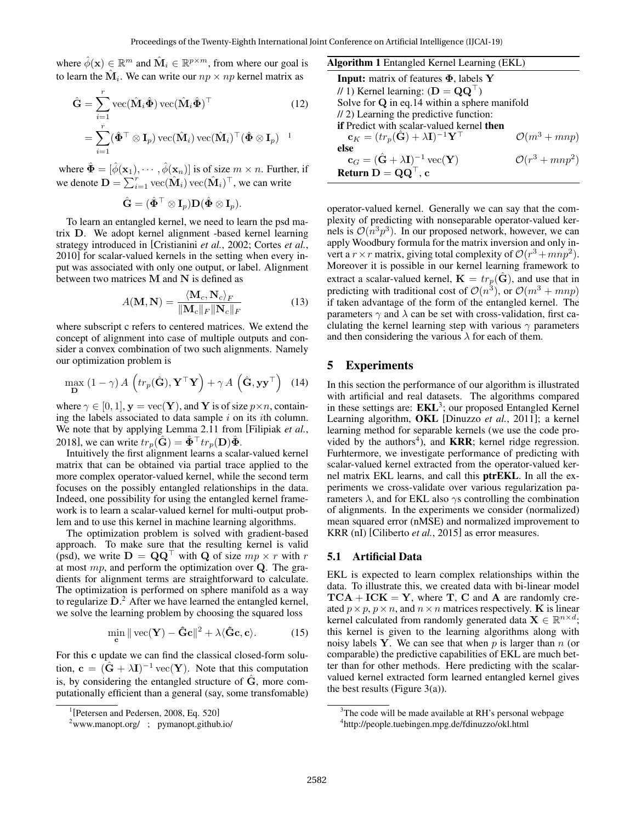where  $\hat{\phi}(\mathbf{x}) \in \mathbb{R}^m$  and  $\hat{\mathbf{M}}_i \in \mathbb{R}^{p \times m}$ , from where our goal is to learn the  $\hat{\mathbf{M}}_i$ . We can write our  $np \times np$  kernel matrix as

$$
\hat{\mathbf{G}} = \sum_{i=1}^{r} \text{vec}(\hat{\mathbf{M}}_i \hat{\mathbf{\Phi}}) \text{vec}(\hat{\mathbf{M}}_i \hat{\mathbf{\Phi}})^\top
$$
(12)  

$$
= \sum_{i=1}^{r} (\hat{\mathbf{\Phi}}^\top \otimes \mathbf{I}_p) \text{vec}(\hat{\mathbf{M}}_i) \text{vec}(\hat{\mathbf{M}}_i)^\top (\hat{\mathbf{\Phi}} \otimes \mathbf{I}_p)^{-1}
$$

where  $\hat{\Phi} = [\hat{\phi}(\mathbf{x}_1), \cdots, \hat{\phi}(\mathbf{x}_n)]$  is of size  $m \times n$ . Further, if we denote  $\mathbf{D} = \sum_{i=1}^{r} \text{vec}(\hat{\mathbf{M}}_i) \text{vec}(\hat{\mathbf{M}}_i)^\top$ , we can write

$$
\hat{\mathbf{G}}=(\hat{\mathbf{\Phi}}^\top\otimes \mathbf{I}_p)\mathbf{D}(\hat{\mathbf{\Phi}}\otimes \mathbf{I}_p).
$$

To learn an entangled kernel, we need to learn the psd matrix D. We adopt kernel alignment -based kernel learning strategy introduced in [Cristianini *et al.*, 2002; Cortes *et al.*, 2010] for scalar-valued kernels in the setting when every input was associated with only one output, or label. Alignment between two matrices  $M$  and  $N$  is defined as

$$
A(\mathbf{M}, \mathbf{N}) = \frac{\langle \mathbf{M}_c, \mathbf{N}_c \rangle_F}{\|\mathbf{M}_c\|_F \|\mathbf{N}_c\|_F}
$$
(13)

where subscript c refers to centered matrices. We extend the concept of alignment into case of multiple outputs and consider a convex combination of two such alignments. Namely our optimization problem is

$$
\max_{\mathbf{D}} (1 - \gamma) A \left( tr_p(\hat{\mathbf{G}}), \mathbf{Y}^\top \mathbf{Y} \right) + \gamma A \left( \hat{\mathbf{G}}, \mathbf{y} \mathbf{y}^\top \right) \tag{14}
$$

where  $\gamma \in [0, 1]$ ,  $\mathbf{y} = \text{vec}(\mathbf{Y})$ , and Y is of size  $p \times n$ , containing the labels associated to data sample  $i$  on its *i*th column. We note that by applying Lemma 2.11 from [Filipiak *et al.*, 2018], we can write  $tr_p(\hat{\mathbf{G}}) = \hat{\mathbf{\Phi}}^{\top} tr_p(\mathbf{D}) \hat{\mathbf{\Phi}}$ .

Intuitively the first alignment learns a scalar-valued kernel matrix that can be obtained via partial trace applied to the more complex operator-valued kernel, while the second term focuses on the possibly entangled relationships in the data. Indeed, one possibility for using the entangled kernel framework is to learn a scalar-valued kernel for multi-output problem and to use this kernel in machine learning algorithms.

The optimization problem is solved with gradient-based approach. To make sure that the resulting kernel is valid (psd), we write  $D = QQ^{\dagger}$  with Q of size  $mp \times r$  with r at most  $mp$ , and perform the optimization over Q. The gradients for alignment terms are straightforward to calculate. The optimization is performed on sphere manifold as a way to regularize  $D<sup>2</sup>$ . After we have learned the entangled kernel, we solve the learning problem by choosing the squared loss

$$
\min_{\mathbf{c}} \| \operatorname{vec}(\mathbf{Y}) - \hat{\mathbf{G}}\mathbf{c} \|^2 + \lambda \langle \hat{\mathbf{G}}\mathbf{c}, \mathbf{c} \rangle. \tag{15}
$$

For this c update we can find the classical closed-form solution,  $\mathbf{c} = (\hat{\mathbf{G}} + \lambda \mathbf{I})^{-1}$  vec $(\mathbf{Y})$ . Note that this computation is, by considering the entangled structure of  $\hat{G}$ , more computationally efficient than a general (say, some transfomable)

| <b>Algorithm 1</b> Entangled Kernel Learning (EKL) |
|----------------------------------------------------|
|                                                    |
|                                                    |
| Solve for $Q$ in eq.14 within a sphere manifold    |
|                                                    |
|                                                    |
| $\mathcal{O}(m^3 + mnp)$                           |
|                                                    |
| $\mathcal{O}(r^3 + mnp^2)$                         |
|                                                    |
|                                                    |

operator-valued kernel. Generally we can say that the complexity of predicting with nonseparable operator-valued kernels is  $\mathcal{O}(n^3p^3)$ . In our proposed network, however, we can apply Woodbury formula for the matrix inversion and only invert a  $r \times r$  matrix, giving total complexity of  $\mathcal{O}(r^3 + mnp^2)$ . Moreover it is possible in our kernel learning framework to extract a scalar-valued kernel,  $\mathbf{K} = tr_p(\mathbf{G})$ , and use that in predicting with traditional cost of  $\mathcal{O}(n^3)$ , or  $\mathcal{O}(m^3 + mnp)$ if taken advantage of the form of the entangled kernel. The parameters  $\gamma$  and  $\lambda$  can be set with cross-validation, first caclulating the kernel learning step with various  $\gamma$  parameters and then considering the various  $\lambda$  for each of them.

# 5 Experiments

In this section the performance of our algorithm is illustrated with artificial and real datasets. The algorithms compared in these settings are:  $\mathbf{EKL}^3$ ; our proposed Entangled Kernel Learning algorithm, OKL [Dinuzzo *et al.*, 2011]; a kernel learning method for separable kernels (we use the code provided by the authors<sup>4</sup>), and **KRR**; kernel ridge regression. Furhtermore, we investigate performance of predicting with scalar-valued kernel extracted from the operator-valued kernel matrix EKL learns, and call this ptrEKL. In all the experiments we cross-validate over various regularization parameters  $\lambda$ , and for EKL also  $\gamma$ s controlling the combination of alignments. In the experiments we consider (normalized) mean squared error (nMSE) and normalized improvement to KRR (nI) [Ciliberto *et al.*, 2015] as error measures.

#### 5.1 Artificial Data

EKL is expected to learn complex relationships within the data. To illustrate this, we created data with bi-linear model  $TCA + ICK = Y$ , where T, C and A are randomly created  $p \times p$ ,  $p \times n$ , and  $n \times n$  matrices respectively. K is linear kernel calculated from randomly generated data  $\mathbf{X} \in \mathbb{R}^{n \times d}$ ; this kernel is given to the learning algorithms along with noisy labels Y. We can see that when  $p$  is larger than  $n$  (or comparable) the predictive capabilities of EKL are much better than for other methods. Here predicting with the scalarvalued kernel extracted form learned entangled kernel gives the best results (Figure 3(a)).

<sup>1</sup> [Petersen and Pedersen, 2008, Eq. 520]

 $2$ www.manopt.org/ ; pymanopt.github.io/

<sup>&</sup>lt;sup>3</sup>The code will be made available at RH's personal webpage 4 http://people.tuebingen.mpg.de/fdinuzzo/okl.html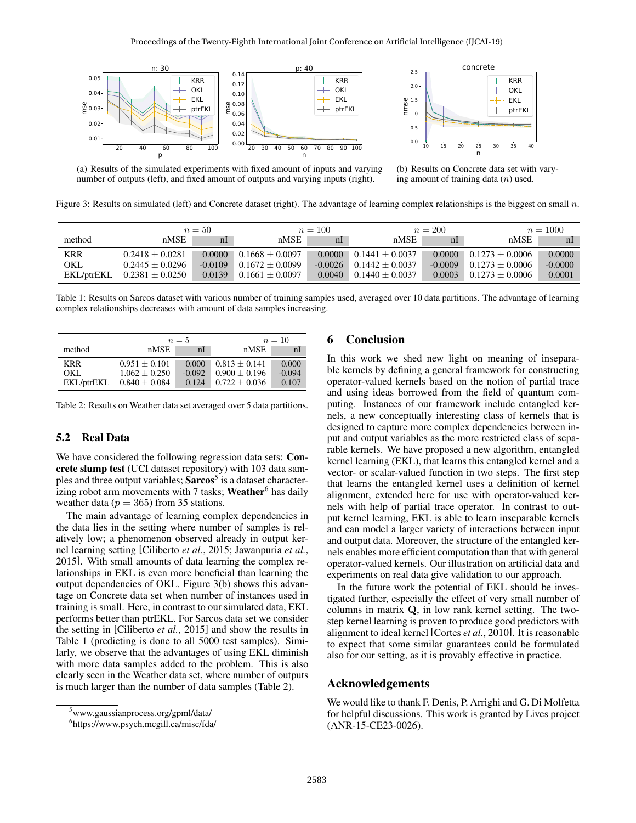



(a) Results of the simulated experiments with fixed amount of inputs and varying number of outputs (left), and fixed amount of outputs and varying inputs (right).

(b) Results on Concrete data set with varying amount of training data  $(n)$  used.

Figure 3: Results on simulated (left) and Concrete dataset (right). The advantage of learning complex relationships is the biggest on small  $n$ .

|            | $n=50$              |           |                     | $n = 100$ |                   | $n = 200$      |                     | $n = 1000$     |  |
|------------|---------------------|-----------|---------------------|-----------|-------------------|----------------|---------------------|----------------|--|
| method     | nMSE                | nI        | nMSE                | nI        | nMSE              | n <sub>l</sub> | nMSE                | n <sub>l</sub> |  |
| <b>KRR</b> | $0.2418 + 0.0281$   | 0.0000    | $0.1668 + 0.0097$   | 0.0000    | $0.1441 + 0.0037$ | 0.0000         | $0.1273 + 0.0006$   | 0.0000         |  |
| OKL        | $0.2445 + 0.0296$   | $-0.0109$ | $0.1672 + 0.0099$   | $-0.0026$ | $0.1442 + 0.0037$ | $-0.0009$      | $0.1273 + 0.0006$   | $-0.0000$      |  |
| EKL/ptrEKL | $0.2381 \pm 0.0250$ | 0.0139    | $0.1661 \pm 0.0097$ | 0.0040    | $0.1440 + 0.0037$ | 0.0003         | $0.1273 \pm 0.0006$ | 0.0001         |  |

Table 1: Results on Sarcos dataset with various number of training samples used, averaged over 10 data partitions. The advantage of learning complex relationships decreases with amount of data samples increasing.

|            |                   | $n=5$    |                   | $n=10$         |  |  |
|------------|-------------------|----------|-------------------|----------------|--|--|
| method     | nMSE              | nI       | nMSE              | n <sup>l</sup> |  |  |
| <b>KRR</b> | $0.951 + 0.101$   | 0.000    | $0.813 + 0.141$   | 0.000          |  |  |
| OKL        | $1.062 + 0.250$   | $-0.092$ | $0.900 \pm 0.196$ | $-0.094$       |  |  |
| EKL/ptrEKL | $0.840 \pm 0.084$ | 0.124    | $0.722 + 0.036$   | 0.107          |  |  |

Table 2: Results on Weather data set averaged over 5 data partitions.

## 5.2 Real Data

We have considered the following regression data sets: Concrete slump test (UCI dataset repository) with 103 data samples and three output variables; Sarcos<sup>5</sup> is a dataset characterizing robot arm movements with  $7$  tasks; Weather<sup>6</sup> has daily weather data ( $p = 365$ ) from 35 stations.

The main advantage of learning complex dependencies in the data lies in the setting where number of samples is relatively low; a phenomenon observed already in output kernel learning setting [Ciliberto *et al.*, 2015; Jawanpuria *et al.*, 2015]. With small amounts of data learning the complex relationships in EKL is even more beneficial than learning the output dependencies of OKL. Figure 3(b) shows this advantage on Concrete data set when number of instances used in training is small. Here, in contrast to our simulated data, EKL performs better than ptrEKL. For Sarcos data set we consider the setting in [Ciliberto *et al.*, 2015] and show the results in Table 1 (predicting is done to all 5000 test samples). Similarly, we observe that the advantages of using EKL diminish with more data samples added to the problem. This is also clearly seen in the Weather data set, where number of outputs is much larger than the number of data samples (Table 2).

## 6 Conclusion

In this work we shed new light on meaning of inseparable kernels by defining a general framework for constructing operator-valued kernels based on the notion of partial trace and using ideas borrowed from the field of quantum computing. Instances of our framework include entangled kernels, a new conceptually interesting class of kernels that is designed to capture more complex dependencies between input and output variables as the more restricted class of separable kernels. We have proposed a new algorithm, entangled kernel learning (EKL), that learns this entangled kernel and a vector- or scalar-valued function in two steps. The first step that learns the entangled kernel uses a definition of kernel alignment, extended here for use with operator-valued kernels with help of partial trace operator. In contrast to output kernel learning, EKL is able to learn inseparable kernels and can model a larger variety of interactions between input and output data. Moreover, the structure of the entangled kernels enables more efficient computation than that with general operator-valued kernels. Our illustration on artificial data and experiments on real data give validation to our approach.

In the future work the potential of EKL should be investigated further, especially the effect of very small number of columns in matrix Q, in low rank kernel setting. The twostep kernel learning is proven to produce good predictors with alignment to ideal kernel [Cortes *et al.*, 2010]. It is reasonable to expect that some similar guarantees could be formulated also for our setting, as it is provably effective in practice.

# Acknowledgements

We would like to thank F. Denis, P. Arrighi and G. Di Molfetta for helpful discussions. This work is granted by Lives project (ANR-15-CE23-0026).

<sup>5</sup>www.gaussianprocess.org/gpml/data/

<sup>6</sup> https://www.psych.mcgill.ca/misc/fda/